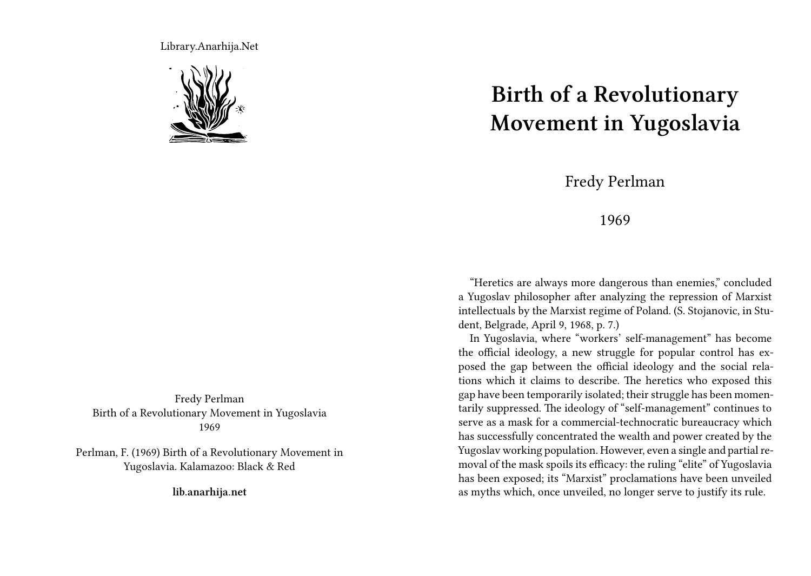Library.Anarhija.Net



Fredy Perlman Birth of a Revolutionary Movement in Yugoslavia 1969

Perlman, F. (1969) Birth of a Revolutionary Movement in Yugoslavia. Kalamazoo: Black & Red

**lib.anarhija.net**

## **Birth of a Revolutionary Movement in Yugoslavia**

Fredy Perlman

## 1969

"Heretics are always more dangerous than enemies," concluded a Yugoslav philosopher after analyzing the repression of Marxist intellectuals by the Marxist regime of Poland. (S. Stojanovic, in Student, Belgrade, April 9, 1968, p. 7.)

In Yugoslavia, where "workers' self-management" has become the official ideology, a new struggle for popular control has exposed the gap between the official ideology and the social relations which it claims to describe. The heretics who exposed this gap have been temporarily isolated; their struggle has been momentarily suppressed. The ideology of "self-management" continues to serve as a mask for a commercial-technocratic bureaucracy which has successfully concentrated the wealth and power created by the Yugoslav working population. However, even a single and partial removal of the mask spoils its efficacy: the ruling "elite" of Yugoslavia has been exposed; its "Marxist" proclamations have been unveiled as myths which, once unveiled, no longer serve to justify its rule.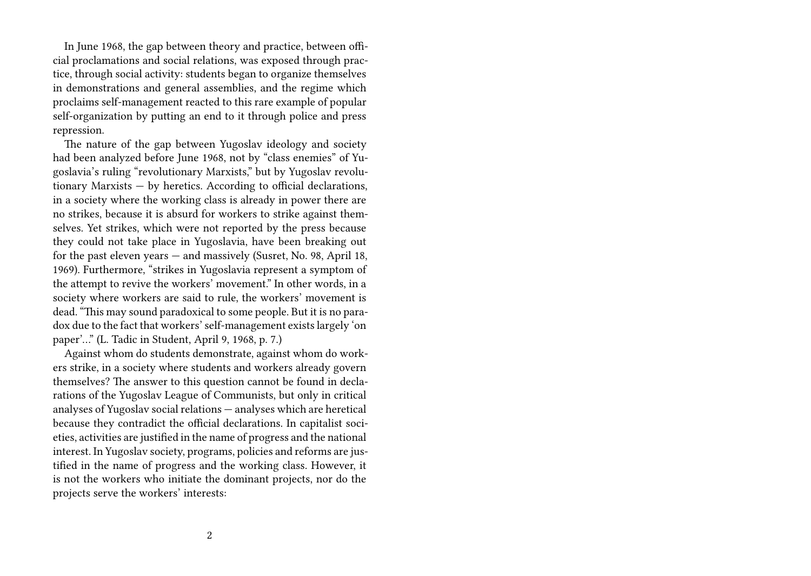In June 1968, the gap between theory and practice, between official proclamations and social relations, was exposed through practice, through social activity: students began to organize themselves in demonstrations and general assemblies, and the regime which proclaims self-management reacted to this rare example of popular self-organization by putting an end to it through police and press repression.

The nature of the gap between Yugoslav ideology and society had been analyzed before June 1968, not by "class enemies" of Yugoslavia's ruling "revolutionary Marxists," but by Yugoslav revolutionary Marxists — by heretics. According to official declarations, in a society where the working class is already in power there are no strikes, because it is absurd for workers to strike against themselves. Yet strikes, which were not reported by the press because they could not take place in Yugoslavia, have been breaking out for the past eleven years — and massively (Susret, No. 98, April 18, 1969). Furthermore, "strikes in Yugoslavia represent a symptom of the attempt to revive the workers' movement." In other words, in a society where workers are said to rule, the workers' movement is dead. "This may sound paradoxical to some people. But it is no paradox due to the fact that workers' self-management exists largely 'on paper'…" (L. Tadic in Student, April 9, 1968, p. 7.)

Against whom do students demonstrate, against whom do workers strike, in a society where students and workers already govern themselves? The answer to this question cannot be found in declarations of the Yugoslav League of Communists, but only in critical analyses of Yugoslav social relations — analyses which are heretical because they contradict the official declarations. In capitalist societies, activities are justified in the name of progress and the national interest. In Yugoslav society, programs, policies and reforms are justified in the name of progress and the working class. However, it is not the workers who initiate the dominant projects, nor do the projects serve the workers' interests: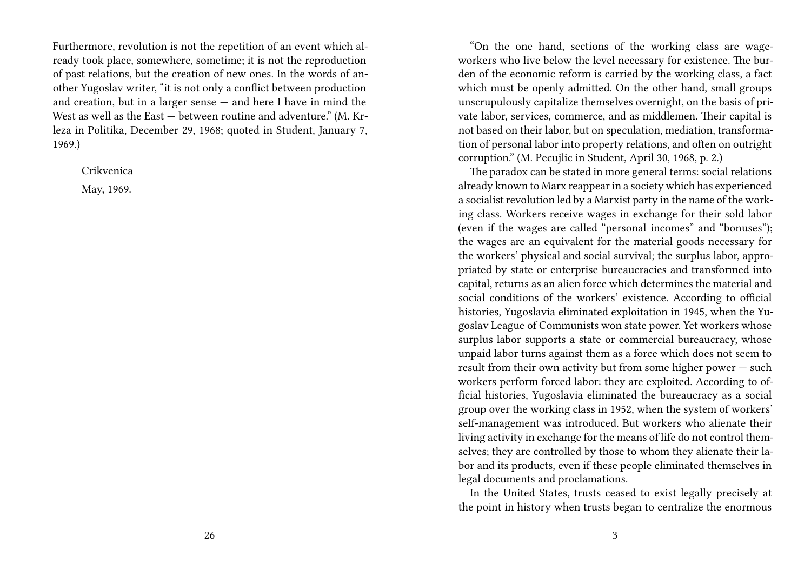Furthermore, revolution is not the repetition of an event which already took place, somewhere, sometime; it is not the reproduction of past relations, but the creation of new ones. In the words of another Yugoslav writer, "it is not only a conflict between production and creation, but in a larger sense — and here I have in mind the West as well as the East — between routine and adventure." (M. Krleza in Politika, December 29, 1968; quoted in Student, January 7, 1969.)

Crikvenica

May, 1969.

"On the one hand, sections of the working class are wageworkers who live below the level necessary for existence. The burden of the economic reform is carried by the working class, a fact which must be openly admitted. On the other hand, small groups unscrupulously capitalize themselves overnight, on the basis of private labor, services, commerce, and as middlemen. Their capital is not based on their labor, but on speculation, mediation, transformation of personal labor into property relations, and often on outright corruption." (M. Pecujlic in Student, April 30, 1968, p. 2.)

The paradox can be stated in more general terms: social relations already known to Marx reappear in a society which has experienced a socialist revolution led by a Marxist party in the name of the working class. Workers receive wages in exchange for their sold labor (even if the wages are called "personal incomes" and "bonuses"); the wages are an equivalent for the material goods necessary for the workers' physical and social survival; the surplus labor, appropriated by state or enterprise bureaucracies and transformed into capital, returns as an alien force which determines the material and social conditions of the workers' existence. According to official histories, Yugoslavia eliminated exploitation in 1945, when the Yugoslav League of Communists won state power. Yet workers whose surplus labor supports a state or commercial bureaucracy, whose unpaid labor turns against them as a force which does not seem to result from their own activity but from some higher power — such workers perform forced labor: they are exploited. According to official histories, Yugoslavia eliminated the bureaucracy as a social group over the working class in 1952, when the system of workers' self-management was introduced. But workers who alienate their living activity in exchange for the means of life do not control themselves; they are controlled by those to whom they alienate their labor and its products, even if these people eliminated themselves in legal documents and proclamations.

In the United States, trusts ceased to exist legally precisely at the point in history when trusts began to centralize the enormous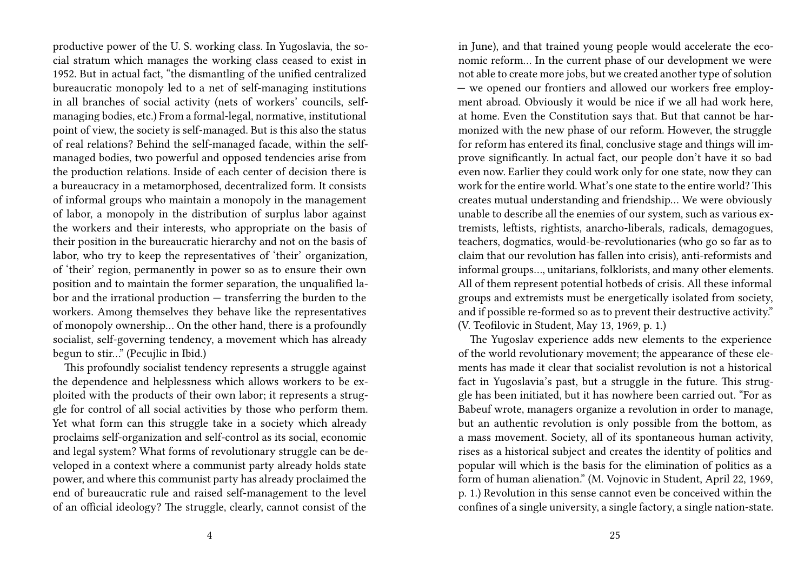productive power of the U. S. working class. In Yugoslavia, the social stratum which manages the working class ceased to exist in 1952. But in actual fact, "the dismantling of the unified centralized bureaucratic monopoly led to a net of self-managing institutions in all branches of social activity (nets of workers' councils, selfmanaging bodies, etc.) From a formal-legal, normative, institutional point of view, the society is self-managed. But is this also the status of real relations? Behind the self-managed facade, within the selfmanaged bodies, two powerful and opposed tendencies arise from the production relations. Inside of each center of decision there is a bureaucracy in a metamorphosed, decentralized form. It consists of informal groups who maintain a monopoly in the management of labor, a monopoly in the distribution of surplus labor against the workers and their interests, who appropriate on the basis of their position in the bureaucratic hierarchy and not on the basis of labor, who try to keep the representatives of 'their' organization, of 'their' region, permanently in power so as to ensure their own position and to maintain the former separation, the unqualified labor and the irrational production — transferring the burden to the workers. Among themselves they behave like the representatives of monopoly ownership… On the other hand, there is a profoundly socialist, self-governing tendency, a movement which has already begun to stir…" (Pecujlic in Ibid.)

This profoundly socialist tendency represents a struggle against the dependence and helplessness which allows workers to be exploited with the products of their own labor; it represents a struggle for control of all social activities by those who perform them. Yet what form can this struggle take in a society which already proclaims self-organization and self-control as its social, economic and legal system? What forms of revolutionary struggle can be developed in a context where a communist party already holds state power, and where this communist party has already proclaimed the end of bureaucratic rule and raised self-management to the level of an official ideology? The struggle, clearly, cannot consist of the

in June), and that trained young people would accelerate the economic reform… In the current phase of our development we were not able to create more jobs, but we created another type of solution — we opened our frontiers and allowed our workers free employment abroad. Obviously it would be nice if we all had work here, at home. Even the Constitution says that. But that cannot be harmonized with the new phase of our reform. However, the struggle for reform has entered its final, conclusive stage and things will improve significantly. In actual fact, our people don't have it so bad even now. Earlier they could work only for one state, now they can work for the entire world. What's one state to the entire world? This creates mutual understanding and friendship… We were obviously unable to describe all the enemies of our system, such as various extremists, leftists, rightists, anarcho-liberals, radicals, demagogues, teachers, dogmatics, would-be-revolutionaries (who go so far as to claim that our revolution has fallen into crisis), anti-reformists and informal groups…, unitarians, folklorists, and many other elements. All of them represent potential hotbeds of crisis. All these informal groups and extremists must be energetically isolated from society, and if possible re-formed so as to prevent their destructive activity." (V. Teofilovic in Student, May 13, 1969, p. 1.)

The Yugoslav experience adds new elements to the experience of the world revolutionary movement; the appearance of these elements has made it clear that socialist revolution is not a historical fact in Yugoslavia's past, but a struggle in the future. This struggle has been initiated, but it has nowhere been carried out. "For as Babeuf wrote, managers organize a revolution in order to manage, but an authentic revolution is only possible from the bottom, as a mass movement. Society, all of its spontaneous human activity, rises as a historical subject and creates the identity of politics and popular will which is the basis for the elimination of politics as a form of human alienation." (M. Vojnovic in Student, April 22, 1969, p. 1.) Revolution in this sense cannot even be conceived within the confines of a single university, a single factory, a single nation-state.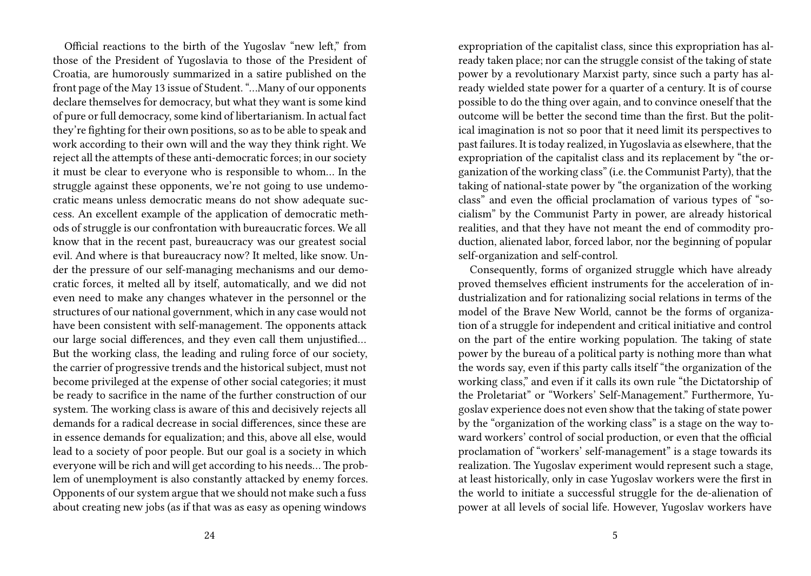Official reactions to the birth of the Yugoslav "new left," from those of the President of Yugoslavia to those of the President of Croatia, are humorously summarized in a satire published on the front page of the May 13 issue of Student. "…Many of our opponents declare themselves for democracy, but what they want is some kind of pure or full democracy, some kind of libertarianism. In actual fact they're fighting for their own positions, so as to be able to speak and work according to their own will and the way they think right. We reject all the attempts of these anti-democratic forces; in our society it must be clear to everyone who is responsible to whom… In the struggle against these opponents, we're not going to use undemocratic means unless democratic means do not show adequate success. An excellent example of the application of democratic methods of struggle is our confrontation with bureaucratic forces. We all know that in the recent past, bureaucracy was our greatest social evil. And where is that bureaucracy now? It melted, like snow. Under the pressure of our self-managing mechanisms and our democratic forces, it melted all by itself, automatically, and we did not even need to make any changes whatever in the personnel or the structures of our national government, which in any case would not have been consistent with self-management. The opponents attack our large social differences, and they even call them unjustified… But the working class, the leading and ruling force of our society, the carrier of progressive trends and the historical subject, must not become privileged at the expense of other social categories; it must be ready to sacrifice in the name of the further construction of our system. The working class is aware of this and decisively rejects all demands for a radical decrease in social differences, since these are in essence demands for equalization; and this, above all else, would lead to a society of poor people. But our goal is a society in which everyone will be rich and will get according to his needs… The problem of unemployment is also constantly attacked by enemy forces. Opponents of our system argue that we should not make such a fuss about creating new jobs (as if that was as easy as opening windows

expropriation of the capitalist class, since this expropriation has already taken place; nor can the struggle consist of the taking of state power by a revolutionary Marxist party, since such a party has already wielded state power for a quarter of a century. It is of course possible to do the thing over again, and to convince oneself that the outcome will be better the second time than the first. But the political imagination is not so poor that it need limit its perspectives to past failures. It is today realized, in Yugoslavia as elsewhere, that the expropriation of the capitalist class and its replacement by "the organization of the working class" (i.e. the Communist Party), that the taking of national-state power by "the organization of the working class" and even the official proclamation of various types of "socialism" by the Communist Party in power, are already historical realities, and that they have not meant the end of commodity production, alienated labor, forced labor, nor the beginning of popular self-organization and self-control.

Consequently, forms of organized struggle which have already proved themselves efficient instruments for the acceleration of industrialization and for rationalizing social relations in terms of the model of the Brave New World, cannot be the forms of organization of a struggle for independent and critical initiative and control on the part of the entire working population. The taking of state power by the bureau of a political party is nothing more than what the words say, even if this party calls itself "the organization of the working class," and even if it calls its own rule "the Dictatorship of the Proletariat" or "Workers' Self-Management." Furthermore, Yugoslav experience does not even show that the taking of state power by the "organization of the working class" is a stage on the way toward workers' control of social production, or even that the official proclamation of "workers' self-management" is a stage towards its realization. The Yugoslav experiment would represent such a stage, at least historically, only in case Yugoslav workers were the first in the world to initiate a successful struggle for the de-alienation of power at all levels of social life. However, Yugoslav workers have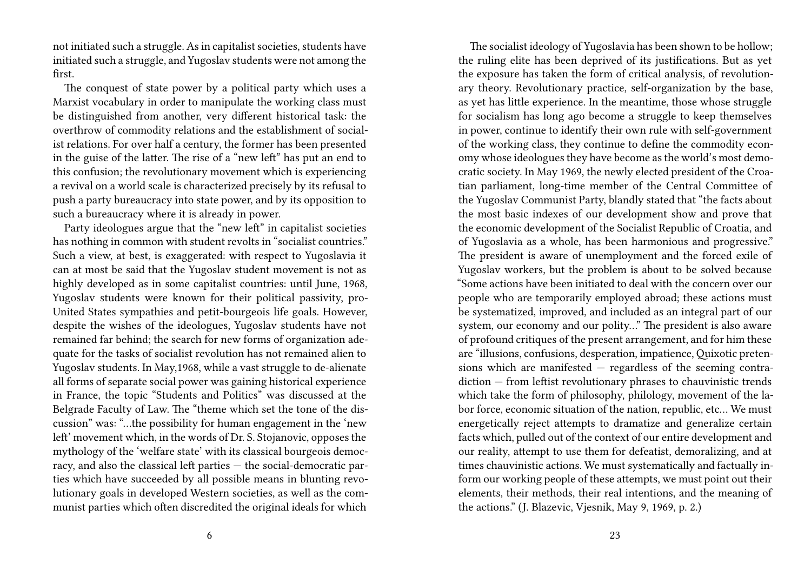not initiated such a struggle. As in capitalist societies, students have initiated such a struggle, and Yugoslav students were not among the first.

The conquest of state power by a political party which uses a Marxist vocabulary in order to manipulate the working class must be distinguished from another, very different historical task: the overthrow of commodity relations and the establishment of socialist relations. For over half a century, the former has been presented in the guise of the latter. The rise of a "new left" has put an end to this confusion; the revolutionary movement which is experiencing a revival on a world scale is characterized precisely by its refusal to push a party bureaucracy into state power, and by its opposition to such a bureaucracy where it is already in power.

Party ideologues argue that the "new left" in capitalist societies has nothing in common with student revolts in "socialist countries." Such a view, at best, is exaggerated: with respect to Yugoslavia it can at most be said that the Yugoslav student movement is not as highly developed as in some capitalist countries: until June, 1968, Yugoslav students were known for their political passivity, pro-United States sympathies and petit-bourgeois life goals. However, despite the wishes of the ideologues, Yugoslav students have not remained far behind; the search for new forms of organization adequate for the tasks of socialist revolution has not remained alien to Yugoslav students. In May,1968, while a vast struggle to de-alienate all forms of separate social power was gaining historical experience in France, the topic "Students and Politics" was discussed at the Belgrade Faculty of Law. The "theme which set the tone of the discussion" was: "…the possibility for human engagement in the 'new left' movement which, in the words of Dr. S. Stojanovic, opposes the mythology of the 'welfare state' with its classical bourgeois democracy, and also the classical left parties — the social-democratic parties which have succeeded by all possible means in blunting revolutionary goals in developed Western societies, as well as the communist parties which often discredited the original ideals for which

The socialist ideology of Yugoslavia has been shown to be hollow; the ruling elite has been deprived of its justifications. But as yet the exposure has taken the form of critical analysis, of revolutionary theory. Revolutionary practice, self-organization by the base, as yet has little experience. In the meantime, those whose struggle for socialism has long ago become a struggle to keep themselves in power, continue to identify their own rule with self-government of the working class, they continue to define the commodity economy whose ideologues they have become as the world's most democratic society. In May 1969, the newly elected president of the Croatian parliament, long-time member of the Central Committee of the Yugoslav Communist Party, blandly stated that "the facts about the most basic indexes of our development show and prove that the economic development of the Socialist Republic of Croatia, and of Yugoslavia as a whole, has been harmonious and progressive." The president is aware of unemployment and the forced exile of Yugoslav workers, but the problem is about to be solved because "Some actions have been initiated to deal with the concern over our people who are temporarily employed abroad; these actions must be systematized, improved, and included as an integral part of our system, our economy and our polity…" The president is also aware of profound critiques of the present arrangement, and for him these are "illusions, confusions, desperation, impatience,Quixotic pretensions which are manifested — regardless of the seeming contradiction — from leftist revolutionary phrases to chauvinistic trends which take the form of philosophy, philology, movement of the labor force, economic situation of the nation, republic, etc… We must energetically reject attempts to dramatize and generalize certain facts which, pulled out of the context of our entire development and our reality, attempt to use them for defeatist, demoralizing, and at times chauvinistic actions. We must systematically and factually inform our working people of these attempts, we must point out their elements, their methods, their real intentions, and the meaning of the actions." (J. Blazevic, Vjesnik, May 9, 1969, p. 2.)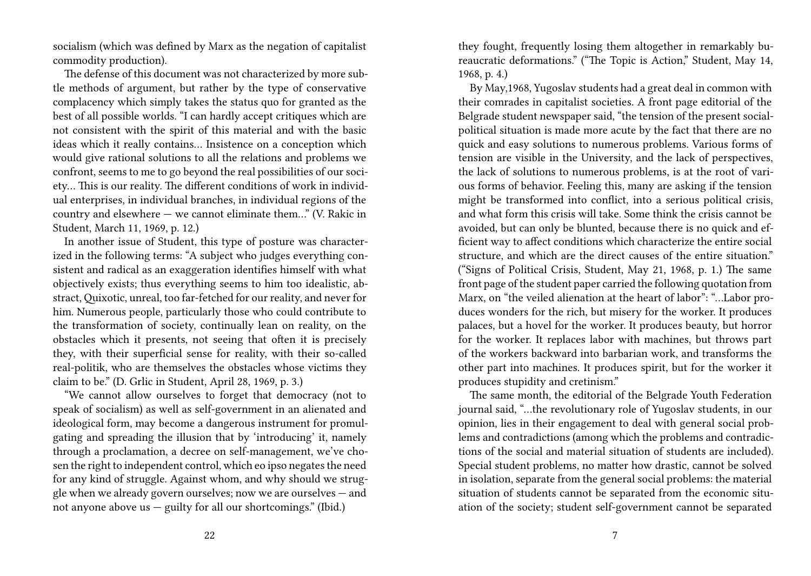socialism (which was defined by Marx as the negation of capitalist commodity production).

The defense of this document was not characterized by more subtle methods of argument, but rather by the type of conservative complacency which simply takes the status quo for granted as the best of all possible worlds. "I can hardly accept critiques which are not consistent with the spirit of this material and with the basic ideas which it really contains… Insistence on a conception which would give rational solutions to all the relations and problems we confront, seems to me to go beyond the real possibilities of our society… This is our reality. The different conditions of work in individual enterprises, in individual branches, in individual regions of the country and elsewhere — we cannot eliminate them…" (V. Rakic in Student, March 11, 1969, p. 12.)

In another issue of Student, this type of posture was characterized in the following terms: "A subject who judges everything consistent and radical as an exaggeration identifies himself with what objectively exists; thus everything seems to him too idealistic, abstract, Quixotic, unreal, too far-fetched for our reality, and never for him. Numerous people, particularly those who could contribute to the transformation of society, continually lean on reality, on the obstacles which it presents, not seeing that often it is precisely they, with their superficial sense for reality, with their so-called real-politik, who are themselves the obstacles whose victims they claim to be." (D. Grlic in Student, April 28, 1969, p. 3.)

"We cannot allow ourselves to forget that democracy (not to speak of socialism) as well as self-government in an alienated and ideological form, may become a dangerous instrument for promulgating and spreading the illusion that by 'introducing' it, namely through a proclamation, a decree on self-management, we've chosen the right to independent control, which eo ipso negates the need for any kind of struggle. Against whom, and why should we struggle when we already govern ourselves; now we are ourselves — and not anyone above us  $-$  guilty for all our shortcomings." (Ibid.)

they fought, frequently losing them altogether in remarkably bureaucratic deformations." ("The Topic is Action," Student, May 14, 1968, p. 4.)

By May,1968, Yugoslav students had a great deal in common with their comrades in capitalist societies. A front page editorial of the Belgrade student newspaper said, "the tension of the present socialpolitical situation is made more acute by the fact that there are no quick and easy solutions to numerous problems. Various forms of tension are visible in the University, and the lack of perspectives, the lack of solutions to numerous problems, is at the root of various forms of behavior. Feeling this, many are asking if the tension might be transformed into conflict, into a serious political crisis, and what form this crisis will take. Some think the crisis cannot be avoided, but can only be blunted, because there is no quick and efficient way to affect conditions which characterize the entire social structure, and which are the direct causes of the entire situation." ("Signs of Political Crisis, Student, May 21, 1968, p. 1.) The same front page of the student paper carried the following quotation from Marx, on "the veiled alienation at the heart of labor": "…Labor produces wonders for the rich, but misery for the worker. It produces palaces, but a hovel for the worker. It produces beauty, but horror for the worker. It replaces labor with machines, but throws part of the workers backward into barbarian work, and transforms the other part into machines. It produces spirit, but for the worker it produces stupidity and cretinism."

The same month, the editorial of the Belgrade Youth Federation journal said, "…the revolutionary role of Yugoslav students, in our opinion, lies in their engagement to deal with general social problems and contradictions (among which the problems and contradictions of the social and material situation of students are included). Special student problems, no matter how drastic, cannot be solved in isolation, separate from the general social problems: the material situation of students cannot be separated from the economic situation of the society; student self-government cannot be separated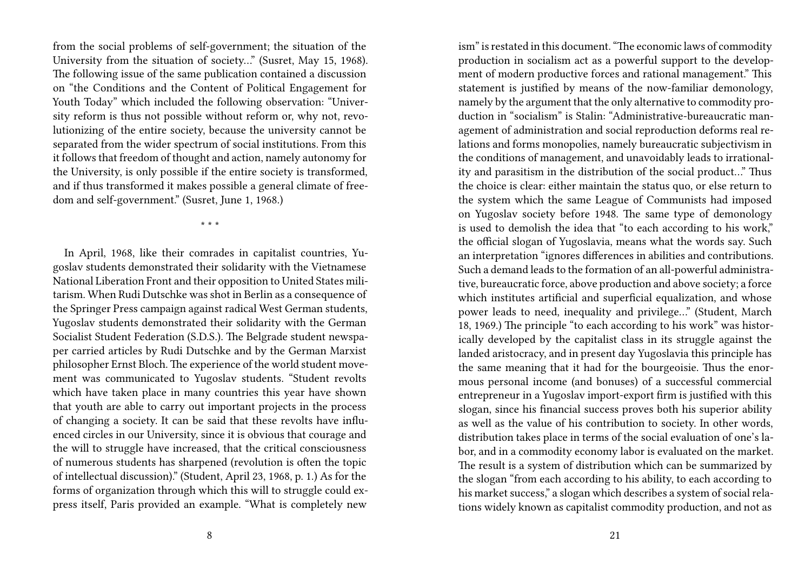from the social problems of self-government; the situation of the University from the situation of society…" (Susret, May 15, 1968). The following issue of the same publication contained a discussion on "the Conditions and the Content of Political Engagement for Youth Today" which included the following observation: "University reform is thus not possible without reform or, why not, revolutionizing of the entire society, because the university cannot be separated from the wider spectrum of social institutions. From this it follows that freedom of thought and action, namely autonomy for the University, is only possible if the entire society is transformed, and if thus transformed it makes possible a general climate of freedom and self-government." (Susret, June 1, 1968.)

\* \* \*

In April, 1968, like their comrades in capitalist countries, Yugoslav students demonstrated their solidarity with the Vietnamese National Liberation Front and their opposition to United States militarism. When Rudi Dutschke was shot in Berlin as a consequence of the Springer Press campaign against radical West German students, Yugoslav students demonstrated their solidarity with the German Socialist Student Federation (S.D.S.). The Belgrade student newspaper carried articles by Rudi Dutschke and by the German Marxist philosopher Ernst Bloch. The experience of the world student movement was communicated to Yugoslav students. "Student revolts which have taken place in many countries this year have shown that youth are able to carry out important projects in the process of changing a society. It can be said that these revolts have influenced circles in our University, since it is obvious that courage and the will to struggle have increased, that the critical consciousness of numerous students has sharpened (revolution is often the topic of intellectual discussion)." (Student, April 23, 1968, p. 1.) As for the forms of organization through which this will to struggle could express itself, Paris provided an example. "What is completely new

production in socialism act as a powerful support to the development of modern productive forces and rational management." This statement is justified by means of the now-familiar demonology, namely by the argument that the only alternative to commodity production in "socialism" is Stalin: "Administrative-bureaucratic management of administration and social reproduction deforms real relations and forms monopolies, namely bureaucratic subjectivism in the conditions of management, and unavoidably leads to irrationality and parasitism in the distribution of the social product…" Thus the choice is clear: either maintain the status quo, or else return to the system which the same League of Communists had imposed on Yugoslav society before 1948. The same type of demonology is used to demolish the idea that "to each according to his work," the official slogan of Yugoslavia, means what the words say. Such an interpretation "ignores differences in abilities and contributions. Such a demand leads to the formation of an all-powerful administrative, bureaucratic force, above production and above society; a force which institutes artificial and superficial equalization, and whose power leads to need, inequality and privilege…" (Student, March 18, 1969.) The principle "to each according to his work" was historically developed by the capitalist class in its struggle against the landed aristocracy, and in present day Yugoslavia this principle has the same meaning that it had for the bourgeoisie. Thus the enormous personal income (and bonuses) of a successful commercial entrepreneur in a Yugoslav import-export firm is justified with this slogan, since his financial success proves both his superior ability as well as the value of his contribution to society. In other words, distribution takes place in terms of the social evaluation of one's labor, and in a commodity economy labor is evaluated on the market. The result is a system of distribution which can be summarized by the slogan "from each according to his ability, to each according to his market success," a slogan which describes a system of social relations widely known as capitalist commodity production, and not as

ism" is restated in this document. "The economic laws of commodity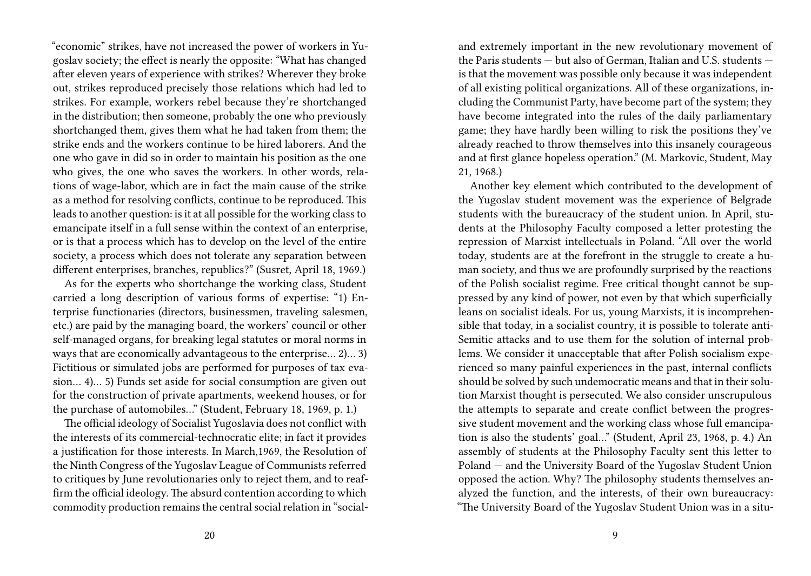"economic" strikes, have not increased the power of workers in Yugoslav society; the effect is nearly the opposite: "What has changed after eleven years of experience with strikes? Wherever they broke out, strikes reproduced precisely those relations which had led to strikes. For example, workers rebel because they're shortchanged in the distribution; then someone, probably the one who previously shortchanged them, gives them what he had taken from them; the strike ends and the workers continue to be hired laborers. And the one who gave in did so in order to maintain his position as the one who gives, the one who saves the workers. In other words, relations of wage-labor, which are in fact the main cause of the strike as a method for resolving conflicts, continue to be reproduced. This leads to another question: is it at all possible for the working class to emancipate itself in a full sense within the context of an enterprise, or is that a process which has to develop on the level of the entire society, a process which does not tolerate any separation between different enterprises, branches, republics?" (Susret, April 18, 1969.)

As for the experts who shortchange the working class, Student carried a long description of various forms of expertise: "1) Enterprise functionaries (directors, businessmen, traveling salesmen, etc.) are paid by the managing board, the workers' council or other self-managed organs, for breaking legal statutes or moral norms in ways that are economically advantageous to the enterprise… 2)… 3) Fictitious or simulated jobs are performed for purposes of tax evasion… 4)… 5) Funds set aside for social consumption are given out for the construction of private apartments, weekend houses, or for the purchase of automobiles…" (Student, February 18, 1969, p. 1.)

The official ideology of Socialist Yugoslavia does not conflict with the interests of its commercial-technocratic elite; in fact it provides a justification for those interests. In March,1969, the Resolution of the Ninth Congress of the Yugoslav League of Communists referred to critiques by June revolutionaries only to reject them, and to reaffirm the official ideology. The absurd contention according to which commodity production remains the central social relation in "socialand extremely important in the new revolutionary movement of the Paris students — but also of German, Italian and U.S. students is that the movement was possible only because it was independent of all existing political organizations. All of these organizations, including the Communist Party, have become part of the system; they have become integrated into the rules of the daily parliamentary game; they have hardly been willing to risk the positions they've already reached to throw themselves into this insanely courageous and at first glance hopeless operation." (M. Markovic, Student, May 21, 1968.)

Another key element which contributed to the development of the Yugoslav student movement was the experience of Belgrade students with the bureaucracy of the student union. In April, students at the Philosophy Faculty composed a letter protesting the repression of Marxist intellectuals in Poland. "All over the world today, students are at the forefront in the struggle to create a human society, and thus we are profoundly surprised by the reactions of the Polish socialist regime. Free critical thought cannot be suppressed by any kind of power, not even by that which superficially leans on socialist ideals. For us, young Marxists, it is incomprehensible that today, in a socialist country, it is possible to tolerate anti-Semitic attacks and to use them for the solution of internal problems. We consider it unacceptable that after Polish socialism experienced so many painful experiences in the past, internal conflicts should be solved by such undemocratic means and that in their solution Marxist thought is persecuted. We also consider unscrupulous the attempts to separate and create conflict between the progressive student movement and the working class whose full emancipation is also the students' goal…" (Student, April 23, 1968, p. 4.) An assembly of students at the Philosophy Faculty sent this letter to Poland — and the University Board of the Yugoslav Student Union opposed the action. Why? The philosophy students themselves analyzed the function, and the interests, of their own bureaucracy: "The University Board of the Yugoslav Student Union was in a situ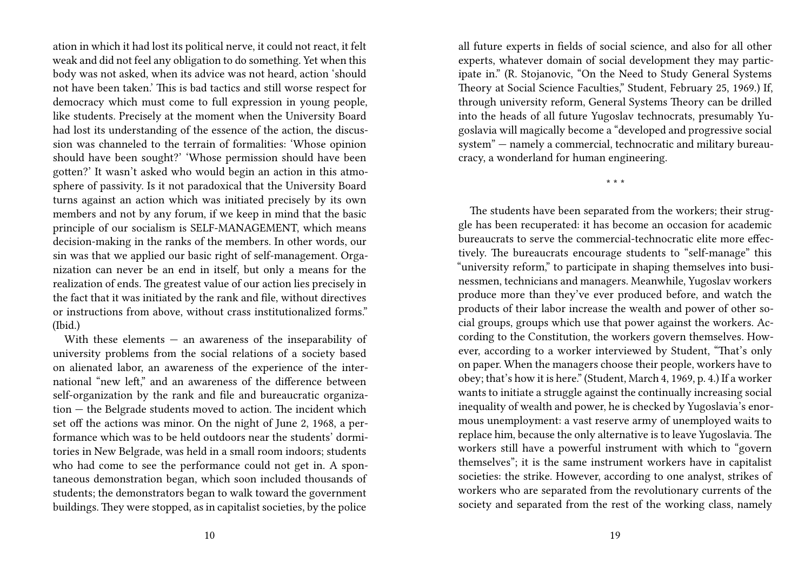ation in which it had lost its political nerve, it could not react, it felt weak and did not feel any obligation to do something. Yet when this body was not asked, when its advice was not heard, action 'should not have been taken.' This is bad tactics and still worse respect for democracy which must come to full expression in young people, like students. Precisely at the moment when the University Board had lost its understanding of the essence of the action, the discussion was channeled to the terrain of formalities: 'Whose opinion should have been sought?' 'Whose permission should have been gotten?' It wasn't asked who would begin an action in this atmosphere of passivity. Is it not paradoxical that the University Board turns against an action which was initiated precisely by its own members and not by any forum, if we keep in mind that the basic principle of our socialism is SELF-MANAGEMENT, which means decision-making in the ranks of the members. In other words, our sin was that we applied our basic right of self-management. Organization can never be an end in itself, but only a means for the realization of ends. The greatest value of our action lies precisely in the fact that it was initiated by the rank and file, without directives or instructions from above, without crass institutionalized forms." (Ibid.)

With these elements  $-$  an awareness of the inseparability of university problems from the social relations of a society based on alienated labor, an awareness of the experience of the international "new left," and an awareness of the difference between self-organization by the rank and file and bureaucratic organization — the Belgrade students moved to action. The incident which set off the actions was minor. On the night of June 2, 1968, a performance which was to be held outdoors near the students' dormitories in New Belgrade, was held in a small room indoors; students who had come to see the performance could not get in. A spontaneous demonstration began, which soon included thousands of students; the demonstrators began to walk toward the government buildings. They were stopped, as in capitalist societies, by the police

all future experts in fields of social science, and also for all other experts, whatever domain of social development they may participate in." (R. Stojanovic, "On the Need to Study General Systems Theory at Social Science Faculties," Student, February 25, 1969.) If, through university reform, General Systems Theory can be drilled into the heads of all future Yugoslav technocrats, presumably Yugoslavia will magically become a "developed and progressive social system" — namely a commercial, technocratic and military bureaucracy, a wonderland for human engineering.

\* \* \*

The students have been separated from the workers; their struggle has been recuperated: it has become an occasion for academic bureaucrats to serve the commercial-technocratic elite more effectively. The bureaucrats encourage students to "self-manage" this "university reform," to participate in shaping themselves into businessmen, technicians and managers. Meanwhile, Yugoslav workers produce more than they've ever produced before, and watch the products of their labor increase the wealth and power of other social groups, groups which use that power against the workers. According to the Constitution, the workers govern themselves. However, according to a worker interviewed by Student, "That's only on paper. When the managers choose their people, workers have to obey; that's how it is here." (Student, March 4, 1969, p. 4.) If a worker wants to initiate a struggle against the continually increasing social inequality of wealth and power, he is checked by Yugoslavia's enormous unemployment: a vast reserve army of unemployed waits to replace him, because the only alternative is to leave Yugoslavia. The workers still have a powerful instrument with which to "govern themselves"; it is the same instrument workers have in capitalist societies: the strike. However, according to one analyst, strikes of workers who are separated from the revolutionary currents of the society and separated from the rest of the working class, namely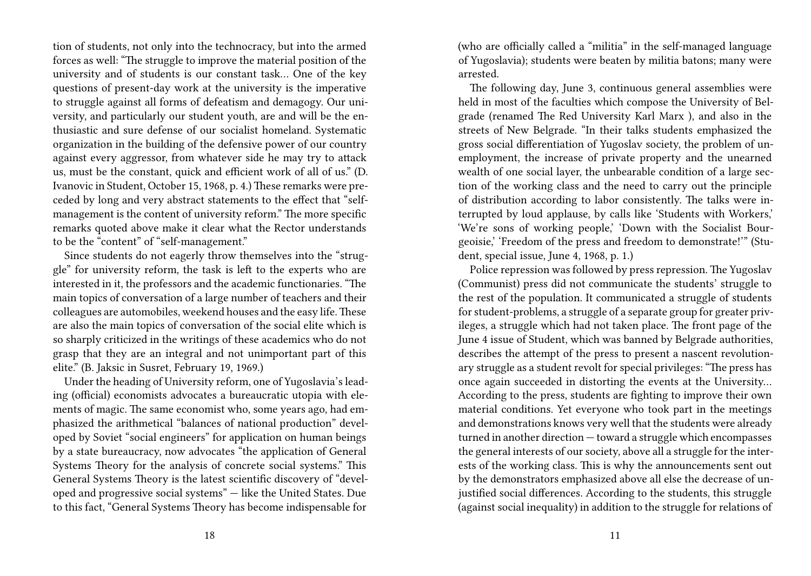tion of students, not only into the technocracy, but into the armed forces as well: "The struggle to improve the material position of the university and of students is our constant task… One of the key questions of present-day work at the university is the imperative to struggle against all forms of defeatism and demagogy. Our university, and particularly our student youth, are and will be the enthusiastic and sure defense of our socialist homeland. Systematic organization in the building of the defensive power of our country against every aggressor, from whatever side he may try to attack us, must be the constant, quick and efficient work of all of us." (D. Ivanovic in Student, October 15, 1968, p. 4.) These remarks were preceded by long and very abstract statements to the effect that "selfmanagement is the content of university reform." The more specific remarks quoted above make it clear what the Rector understands to be the "content" of "self-management."

Since students do not eagerly throw themselves into the "struggle" for university reform, the task is left to the experts who are interested in it, the professors and the academic functionaries. "The main topics of conversation of a large number of teachers and their colleagues are automobiles, weekend houses and the easy life.These are also the main topics of conversation of the social elite which is so sharply criticized in the writings of these academics who do not grasp that they are an integral and not unimportant part of this elite." (B. Jaksic in Susret, February 19, 1969.)

Under the heading of University reform, one of Yugoslavia's leading (official) economists advocates a bureaucratic utopia with elements of magic. The same economist who, some years ago, had emphasized the arithmetical "balances of national production" developed by Soviet "social engineers" for application on human beings by a state bureaucracy, now advocates "the application of General Systems Theory for the analysis of concrete social systems." This General Systems Theory is the latest scientific discovery of "developed and progressive social systems" — like the United States. Due to this fact, "General Systems Theory has become indispensable for

(who are officially called a "militia" in the self-managed language of Yugoslavia); students were beaten by militia batons; many were arrested.

The following day, June 3, continuous general assemblies were held in most of the faculties which compose the University of Belgrade (renamed The Red University Karl Marx ), and also in the streets of New Belgrade. "In their talks students emphasized the gross social differentiation of Yugoslav society, the problem of unemployment, the increase of private property and the unearned wealth of one social layer, the unbearable condition of a large section of the working class and the need to carry out the principle of distribution according to labor consistently. The talks were interrupted by loud applause, by calls like 'Students with Workers,' 'We're sons of working people,' 'Down with the Socialist Bourgeoisie,' 'Freedom of the press and freedom to demonstrate!'" (Student, special issue, June 4, 1968, p. 1.)

Police repression was followed by press repression. The Yugoslav (Communist) press did not communicate the students' struggle to the rest of the population. It communicated a struggle of students for student-problems, a struggle of a separate group for greater privileges, a struggle which had not taken place. The front page of the June 4 issue of Student, which was banned by Belgrade authorities, describes the attempt of the press to present a nascent revolutionary struggle as a student revolt for special privileges: "The press has once again succeeded in distorting the events at the University… According to the press, students are fighting to improve their own material conditions. Yet everyone who took part in the meetings and demonstrations knows very well that the students were already turned in another direction — toward a struggle which encompasses the general interests of our society, above all a struggle for the interests of the working class. This is why the announcements sent out by the demonstrators emphasized above all else the decrease of unjustified social differences. According to the students, this struggle (against social inequality) in addition to the struggle for relations of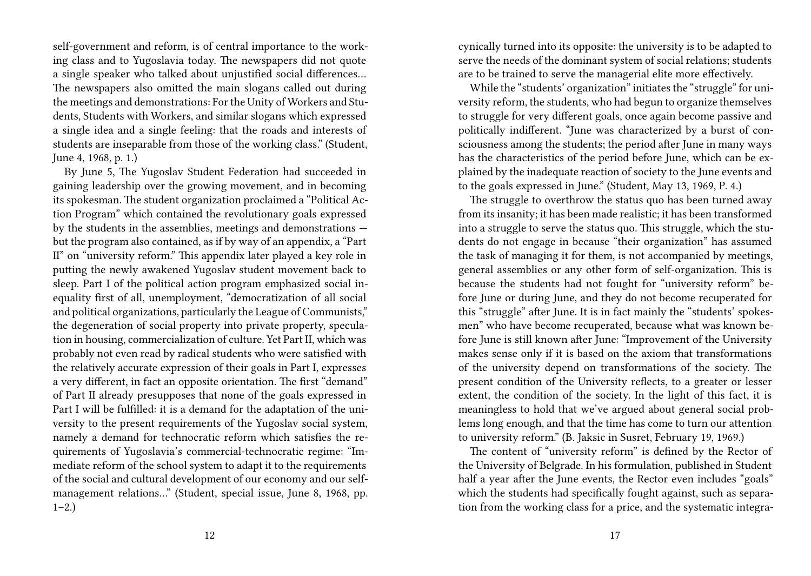self-government and reform, is of central importance to the working class and to Yugoslavia today. The newspapers did not quote a single speaker who talked about unjustified social differences… The newspapers also omitted the main slogans called out during the meetings and demonstrations: For the Unity of Workers and Students, Students with Workers, and similar slogans which expressed a single idea and a single feeling: that the roads and interests of students are inseparable from those of the working class." (Student, June 4, 1968, p. 1.)

By June 5, The Yugoslav Student Federation had succeeded in gaining leadership over the growing movement, and in becoming its spokesman. The student organization proclaimed a "Political Action Program" which contained the revolutionary goals expressed by the students in the assemblies, meetings and demonstrations but the program also contained, as if by way of an appendix, a "Part II" on "university reform." This appendix later played a key role in putting the newly awakened Yugoslav student movement back to sleep. Part I of the political action program emphasized social inequality first of all, unemployment, "democratization of all social and political organizations, particularly the League of Communists," the degeneration of social property into private property, speculation in housing, commercialization of culture. Yet Part II, which was probably not even read by radical students who were satisfied with the relatively accurate expression of their goals in Part I, expresses a very different, in fact an opposite orientation. The first "demand" of Part II already presupposes that none of the goals expressed in Part I will be fulfilled: it is a demand for the adaptation of the university to the present requirements of the Yugoslav social system, namely a demand for technocratic reform which satisfies the requirements of Yugoslavia's commercial-technocratic regime: "Immediate reform of the school system to adapt it to the requirements of the social and cultural development of our economy and our selfmanagement relations…" (Student, special issue, June 8, 1968, pp.  $1-2.$ 

cynically turned into its opposite: the university is to be adapted to serve the needs of the dominant system of social relations; students are to be trained to serve the managerial elite more effectively.

While the "students' organization" initiates the "struggle" for university reform, the students, who had begun to organize themselves to struggle for very different goals, once again become passive and politically indifferent. "June was characterized by a burst of consciousness among the students; the period after June in many ways has the characteristics of the period before June, which can be explained by the inadequate reaction of society to the June events and to the goals expressed in June." (Student, May 13, 1969, P. 4.)

The struggle to overthrow the status quo has been turned away from its insanity; it has been made realistic; it has been transformed into a struggle to serve the status quo. This struggle, which the students do not engage in because "their organization" has assumed the task of managing it for them, is not accompanied by meetings, general assemblies or any other form of self-organization. This is because the students had not fought for "university reform" before June or during June, and they do not become recuperated for this "struggle" after June. It is in fact mainly the "students' spokesmen" who have become recuperated, because what was known before June is still known after June: "Improvement of the University makes sense only if it is based on the axiom that transformations of the university depend on transformations of the society. The present condition of the University reflects, to a greater or lesser extent, the condition of the society. In the light of this fact, it is meaningless to hold that we've argued about general social problems long enough, and that the time has come to turn our attention to university reform." (B. Jaksic in Susret, February 19, 1969.)

The content of "university reform" is defined by the Rector of the University of Belgrade. In his formulation, published in Student half a year after the June events, the Rector even includes "goals" which the students had specifically fought against, such as separation from the working class for a price, and the systematic integra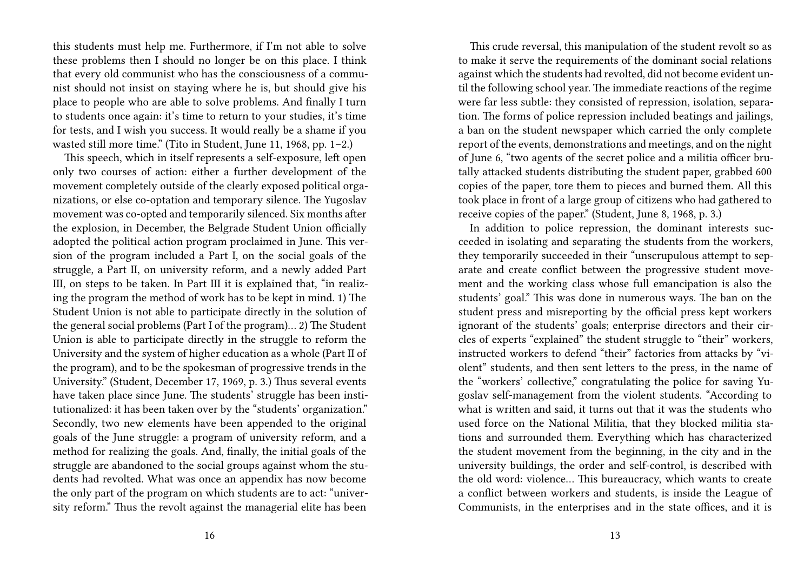this students must help me. Furthermore, if I'm not able to solve these problems then I should no longer be on this place. I think that every old communist who has the consciousness of a communist should not insist on staying where he is, but should give his place to people who are able to solve problems. And finally I turn to students once again: it's time to return to your studies, it's time for tests, and I wish you success. It would really be a shame if you wasted still more time." (Tito in Student, June 11, 1968, pp. 1–2.)

This speech, which in itself represents a self-exposure, left open only two courses of action: either a further development of the movement completely outside of the clearly exposed political organizations, or else co-optation and temporary silence. The Yugoslav movement was co-opted and temporarily silenced. Six months after the explosion, in December, the Belgrade Student Union officially adopted the political action program proclaimed in June. This version of the program included a Part I, on the social goals of the struggle, a Part II, on university reform, and a newly added Part III, on steps to be taken. In Part III it is explained that, "in realizing the program the method of work has to be kept in mind. 1) The Student Union is not able to participate directly in the solution of the general social problems (Part I of the program)… 2) The Student Union is able to participate directly in the struggle to reform the University and the system of higher education as a whole (Part II of the program), and to be the spokesman of progressive trends in the University." (Student, December 17, 1969, p. 3.) Thus several events have taken place since June. The students' struggle has been institutionalized: it has been taken over by the "students' organization." Secondly, two new elements have been appended to the original goals of the June struggle: a program of university reform, and a method for realizing the goals. And, finally, the initial goals of the struggle are abandoned to the social groups against whom the students had revolted. What was once an appendix has now become the only part of the program on which students are to act: "university reform." Thus the revolt against the managerial elite has been

This crude reversal, this manipulation of the student revolt so as to make it serve the requirements of the dominant social relations against which the students had revolted, did not become evident until the following school year. The immediate reactions of the regime were far less subtle: they consisted of repression, isolation, separation. The forms of police repression included beatings and jailings, a ban on the student newspaper which carried the only complete report of the events, demonstrations and meetings, and on the night of June 6, "two agents of the secret police and a militia officer brutally attacked students distributing the student paper, grabbed 600 copies of the paper, tore them to pieces and burned them. All this took place in front of a large group of citizens who had gathered to receive copies of the paper." (Student, June 8, 1968, p. 3.)

In addition to police repression, the dominant interests succeeded in isolating and separating the students from the workers, they temporarily succeeded in their "unscrupulous attempt to separate and create conflict between the progressive student movement and the working class whose full emancipation is also the students' goal." This was done in numerous ways. The ban on the student press and misreporting by the official press kept workers ignorant of the students' goals; enterprise directors and their circles of experts "explained" the student struggle to "their" workers, instructed workers to defend "their" factories from attacks by "violent" students, and then sent letters to the press, in the name of the "workers' collective," congratulating the police for saving Yugoslav self-management from the violent students. "According to what is written and said, it turns out that it was the students who used force on the National Militia, that they blocked militia stations and surrounded them. Everything which has characterized the student movement from the beginning, in the city and in the university buildings, the order and self-control, is described with the old word: violence… This bureaucracy, which wants to create a conflict between workers and students, is inside the League of Communists, in the enterprises and in the state offices, and it is